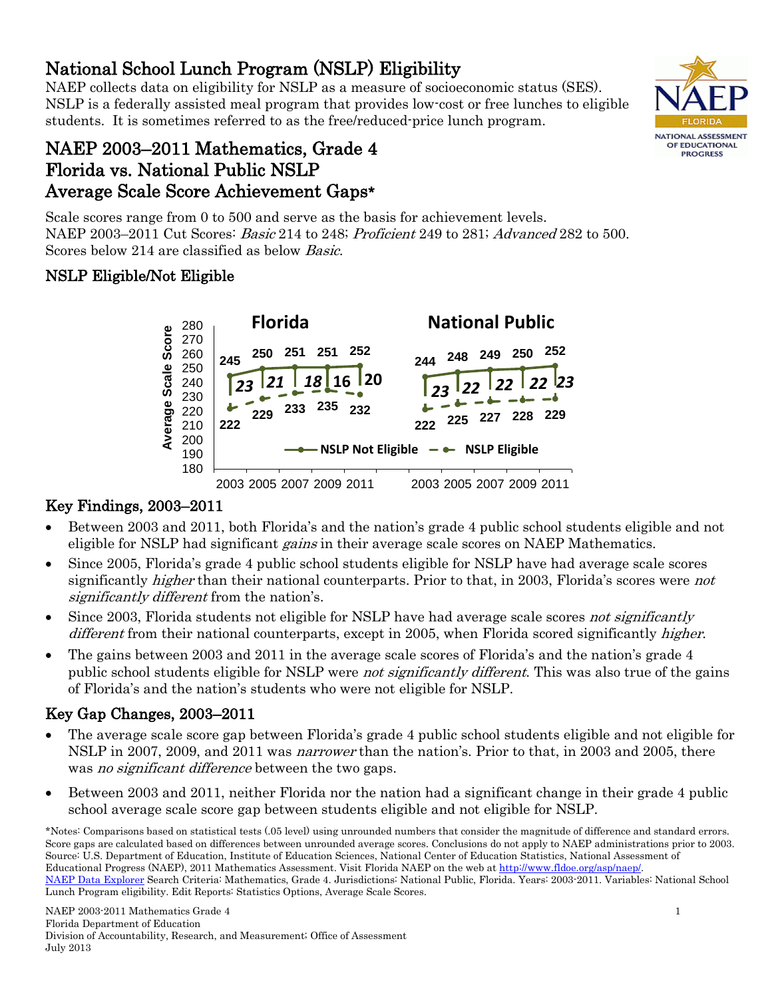# • Between 2003 and 2011, both Florida's and the nation's grade 4 public school students eligible and not eligible for NSLP had significant *gains* in their average scale scores on NAEP Mathematics.

- Since 2005, Florida's grade 4 public school students eligible for NSLP have had average scale scores significantly *higher* than their national counterparts. Prior to that, in 2003, Florida's scores were *not* significantly different from the nation's.
- Since 2003, Florida students not eligible for NSLP have had average scale scores not significantly different from their national counterparts, except in 2005, when Florida scored significantly higher.
- The gains between 2003 and 2011 in the average scale scores of Florida's and the nation's grade 4 public school students eligible for NSLP were *not significantly different*. This was also true of the gains of Florida's and the nation's students who were not eligible for NSLP.

# Key Gap Changes, 2003–2011

- The average scale score gap between Florida's grade 4 public school students eligible and not eligible for NSLP in 2007, 2009, and 2011 was *narrower* than the nation's. Prior to that, in 2003 and 2005, there was *no significant difference* between the two gaps.
- Between 2003 and 2011, neither Florida nor the nation had a significant change in their grade 4 public school average scale score gap between students eligible and not eligible for NSLP.

\*Notes: Comparisons based on statistical tests (.05 level) using unrounded numbers that consider the magnitude of difference and standard errors. Score gaps are calculated based on differences between unrounded average scores. Conclusions do not apply to NAEP administrations prior to 2003. Source: U.S. Department of Education, Institute of Education Sciences, National Center of Education Statistics, National Assessment of Educational Progress (NAEP), 2011 Mathematics Assessment. Visit Florida NAEP on the web at [http://www.fldoe.org/asp/naep/.](http://www.fldoe.org/asp/naep/)  [NAEP Data Explorer](http://nces.ed.gov/nationsreportcard/naepdata/) Search Criteria: Mathematics, Grade 4. Jurisdictions: National Public, Florida. Years: 2003-2011. Variables: National School Lunch Program eligibility. Edit Reports: Statistics Options, Average Scale Scores.

National School Lunch Program (NSLP) Eligibility<br>NAEP collects data on eligibility for NSLP as a measure of socioeconomic status (SES). NSLP is a federally assisted meal program that provides low-cost or free lunches to eligible students. It is sometimes referred to as the free/reduced-price lunch program.

## NAEP 2003–2011 Mathematics, Grade 4 Florida vs. National Public NSLP Average Scale Score Achievement Gaps\*

Scale scores range from 0 to 500 and serve as the basis for achievement levels. NAEP 2003–2011 Cut Scores: Basic 214 to 248; Proficient 249 to 281; Advanced 282 to 500. Scores below 214 are classified as below Basic.

# NSLP Eligible/Not Eligible



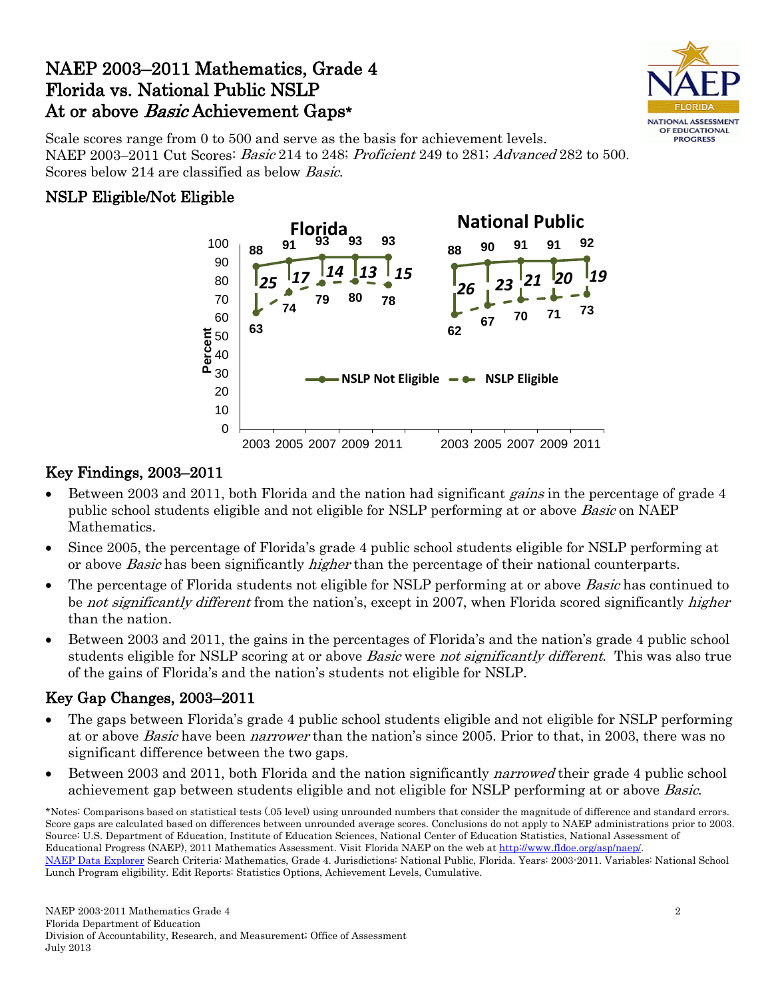## NAEP 2003–2011 Mathematics, Grade 4 Florida vs. National Public NSLP At or above *Basic* Achievement Gaps\*



Scale scores range from 0 to 500 and serve as the basis for achievement levels. NAEP 2003–2011 Cut Scores: Basic 214 to 248; Proficient 249 to 281; Advanced 282 to 500. Scores below 214 are classified as below Basic.

#### NSLP Eligible/Not Eligible



#### Key Findings, 2003–2011

- Between 2003 and 2011, both Florida and the nation had significant *gains* in the percentage of grade 4 public school students eligible and not eligible for NSLP performing at or above *Basic* on NAEP Mathematics.
- Since 2005, the percentage of Florida's grade 4 public school students eligible for NSLP performing at or above *Basic* has been significantly *higher* than the percentage of their national counterparts.
- The percentage of Florida students not eligible for NSLP performing at or above *Basic* has continued to be not significantly different from the nation's, except in 2007, when Florida scored significantly higher than the nation.
- Between 2003 and 2011, the gains in the percentages of Florida's and the nation's grade 4 public school students eligible for NSLP scoring at or above *Basic* were *not significantly different*. This was also true of the gains of Florida's and the nation's students not eligible for NSLP.

#### Key Gap Changes, 2003–2011

- The gaps between Florida's grade 4 public school students eligible and not eligible for NSLP performing at or above *Basic* have been *narrower* than the nation's since 2005. Prior to that, in 2003, there was no significant difference between the two gaps.
- Between 2003 and 2011, both Florida and the nation significantly *narrowed* their grade 4 public school achievement gap between students eligible and not eligible for NSLP performing at or above Basic.

\*Notes: Comparisons based on statistical tests (.05 level) using unrounded numbers that consider the magnitude of difference and standard errors. Score gaps are calculated based on differences between unrounded average scores. Conclusions do not apply to NAEP administrations prior to 2003. Source: U.S. Department of Education, Institute of Education Sciences, National Center of Education Statistics, National Assessment of Educational Progress (NAEP), 2011 Mathematics Assessment. Visit Florida NAEP on the web at [http://www.fldoe.org/asp/naep/.](http://www.fldoe.org/asp/naep/)  [NAEP Data Explorer](http://nces.ed.gov/nationsreportcard/naepdata/) Search Criteria: Mathematics, Grade 4. Jurisdictions: National Public, Florida. Years: 2003-2011. Variables: National School Lunch Program eligibility. Edit Reports: Statistics Options, Achievement Levels, Cumulative.